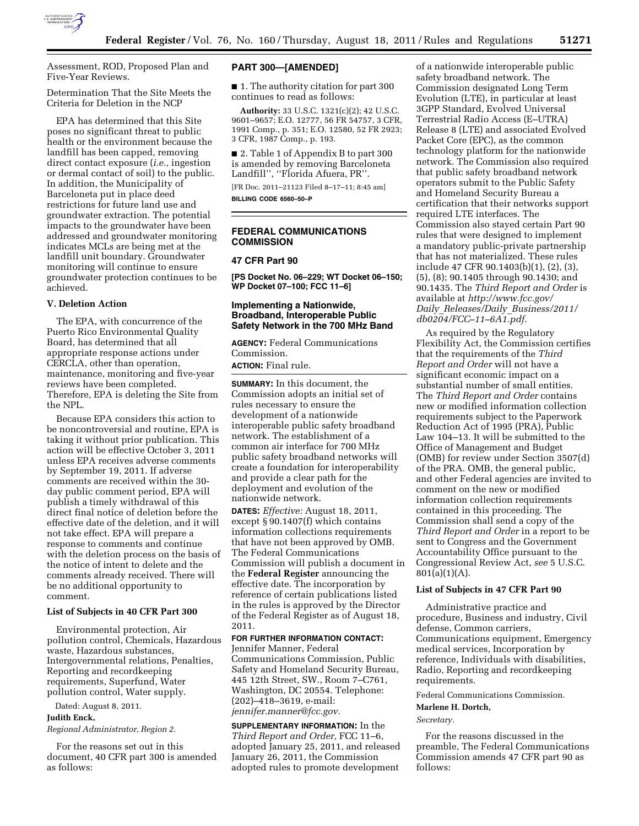

Assessment, ROD, Proposed Plan and Five-Year Reviews.

Determination That the Site Meets the Criteria for Deletion in the NCP

EPA has determined that this Site poses no significant threat to public health or the environment because the landfill has been capped, removing direct contact exposure (*i.e.,* ingestion or dermal contact of soil) to the public. In addition, the Municipality of Barceloneta put in place deed restrictions for future land use and groundwater extraction. The potential impacts to the groundwater have been addressed and groundwater monitoring indicates MCLs are being met at the landfill unit boundary. Groundwater monitoring will continue to ensure groundwater protection continues to be achieved.

# **V. Deletion Action**

The EPA, with concurrence of the Puerto Rico Environmental Quality Board, has determined that all appropriate response actions under CERCLA, other than operation, maintenance, monitoring and five-year reviews have been completed. Therefore, EPA is deleting the Site from the NPL.

Because EPA considers this action to be noncontroversial and routine, EPA is taking it without prior publication. This action will be effective October 3, 2011 unless EPA receives adverse comments by September 19, 2011. If adverse comments are received within the 30 day public comment period, EPA will publish a timely withdrawal of this direct final notice of deletion before the effective date of the deletion, and it will not take effect. EPA will prepare a response to comments and continue with the deletion process on the basis of the notice of intent to delete and the comments already received. There will be no additional opportunity to comment.

#### **List of Subjects in 40 CFR Part 300**

Environmental protection, Air pollution control, Chemicals, Hazardous waste, Hazardous substances, Intergovernmental relations, Penalties, Reporting and recordkeeping requirements, Superfund, Water pollution control, Water supply.

Dated: August 8, 2011.

#### **Judith Enck,**

*Regional Administrator, Region 2.* 

For the reasons set out in this document, 40 CFR part 300 is amended as follows:

#### **PART 300—[AMENDED]**

■ 1. The authority citation for part 300 continues to read as follows:

**Authority:** 33 U.S.C. 1321(c)(2); 42 U.S.C. 9601–9657; E.O. 12777, 56 FR 54757, 3 CFR, 1991 Comp., p. 351; E.O. 12580, 52 FR 2923; 3 CFR, 1987 Comp., p. 193.

■ 2. Table 1 of Appendix B to part 300 is amended by removing Barceloneta Landfill'', ''Florida Afuera, PR''.

[FR Doc. 2011–21123 Filed 8–17–11; 8:45 am] **BILLING CODE 6560–50–P** 

# **FEDERAL COMMUNICATIONS COMMISSION**

#### **47 CFR Part 90**

**[PS Docket No. 06–229; WT Docket 06–150; WP Docket 07–100; FCC 11–6]** 

# **Implementing a Nationwide, Broadband, Interoperable Public Safety Network in the 700 MHz Band**

**AGENCY:** Federal Communications Commission.

**ACTION:** Final rule.

**SUMMARY:** In this document, the Commission adopts an initial set of rules necessary to ensure the development of a nationwide interoperable public safety broadband network. The establishment of a common air interface for 700 MHz public safety broadband networks will create a foundation for interoperability and provide a clear path for the deployment and evolution of the nationwide network.

**DATES:** *Effective:* August 18, 2011, except § 90.1407(f) which contains information collections requirements that have not been approved by OMB. The Federal Communications Commission will publish a document in the **Federal Register** announcing the effective date. The incorporation by reference of certain publications listed in the rules is approved by the Director of the Federal Register as of August 18, 2011.

# **FOR FURTHER INFORMATION CONTACT:**

Jennifer Manner, Federal Communications Commission, Public Safety and Homeland Security Bureau, 445 12th Street, SW., Room 7–C761, Washington, DC 20554. Telephone: (202)–418–3619, e-mail: *[jennifer.manner@fcc.gov.](mailto:jennifer.manner@fcc.gov)* 

**SUPPLEMENTARY INFORMATION:** In the *Third Report and Order,* FCC 11–6, adopted January 25, 2011, and released January 26, 2011, the Commission adopted rules to promote development

of a nationwide interoperable public safety broadband network. The Commission designated Long Term Evolution (LTE), in particular at least 3GPP Standard, Evolved Universal Terrestrial Radio Access (E–UTRA) Release 8 (LTE) and associated Evolved Packet Core (EPC), as the common technology platform for the nationwide network. The Commission also required that public safety broadband network operators submit to the Public Safety and Homeland Security Bureau a certification that their networks support required LTE interfaces. The Commission also stayed certain Part 90 rules that were designed to implement a mandatory public-private partnership that has not materialized. These rules include 47 CFR 90.1403(b)(1), (2), (3), (5), (8); 90.1405 through 90.1430; and 90.1435. The *Third Report and Order* is available at *[http://www.fcc.gov/](http://www.fcc.gov/Daily_Releases/Daily_Business/2011/db0204/FCC-11-6A1.pdf) Daily*\_*Releases/Daily*\_*[Business/2011/](http://www.fcc.gov/Daily_Releases/Daily_Business/2011/db0204/FCC-11-6A1.pdf)  [db0204/FCC–11–6A1.pdf.](http://www.fcc.gov/Daily_Releases/Daily_Business/2011/db0204/FCC-11-6A1.pdf)* 

As required by the Regulatory Flexibility Act, the Commission certifies that the requirements of the *Third Report and Order* will not have a significant economic impact on a substantial number of small entities. The *Third Report and Order* contains new or modified information collection requirements subject to the Paperwork Reduction Act of 1995 (PRA), Public Law 104–13. It will be submitted to the Office of Management and Budget (OMB) for review under Section 3507(d) of the PRA. OMB, the general public, and other Federal agencies are invited to comment on the new or modified information collection requirements contained in this proceeding. The Commission shall send a copy of the *Third Report and Order* in a report to be sent to Congress and the Government Accountability Office pursuant to the Congressional Review Act, *see* 5 U.S.C. 801(a)(1)(A).

# **List of Subjects in 47 CFR Part 90**

Administrative practice and procedure, Business and industry, Civil defense, Common carriers, Communications equipment, Emergency medical services, Incorporation by reference, Individuals with disabilities, Radio, Reporting and recordkeeping requirements.

Federal Communications Commission.

# **Marlene H. Dortch,**

*Secretary.* 

For the reasons discussed in the preamble, The Federal Communications Commission amends 47 CFR part 90 as follows: